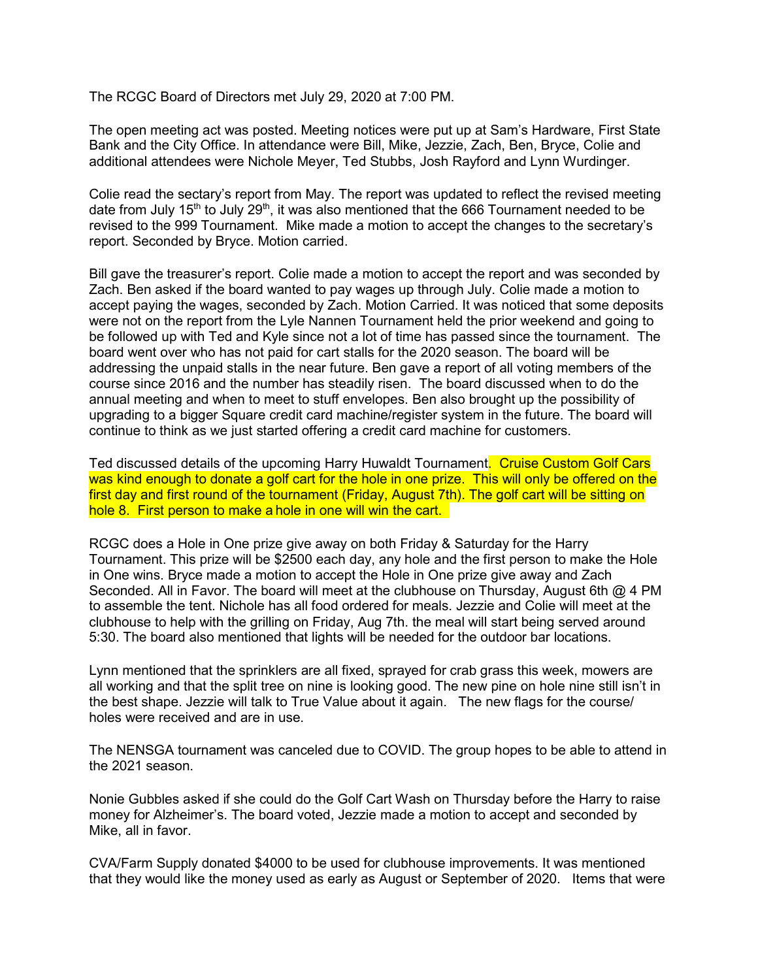The RCGC Board of Directors met July 29, 2020 at 7:00 PM.

The open meeting act was posted. Meeting notices were put up at Sam's Hardware, First State Bank and the City Office. In attendance were Bill, Mike, Jezzie, Zach, Ben, Bryce, Colie and additional attendees were Nichole Meyer, Ted Stubbs, Josh Rayford and Lynn Wurdinger.

Colie read the sectary's report from May. The report was updated to reflect the revised meeting date from July 15<sup>th</sup> to July 29<sup>th</sup>, it was also mentioned that the 666 Tournament needed to be revised to the 999 Tournament. Mike made a motion to accept the changes to the secretary's report. Seconded by Bryce. Motion carried.

Bill gave the treasurer's report. Colie made a motion to accept the report and was seconded by Zach. Ben asked if the board wanted to pay wages up through July. Colie made a motion to accept paying the wages, seconded by Zach. Motion Carried. It was noticed that some deposits were not on the report from the Lyle Nannen Tournament held the prior weekend and going to be followed up with Ted and Kyle since not a lot of time has passed since the tournament. The board went over who has not paid for cart stalls for the 2020 season. The board will be addressing the unpaid stalls in the near future. Ben gave a report of all voting members of the course since 2016 and the number has steadily risen. The board discussed when to do the annual meeting and when to meet to stuff envelopes. Ben also brought up the possibility of upgrading to a bigger Square credit card machine/register system in the future. The board will continue to think as we just started offering a credit card machine for customers.

Ted discussed details of the upcoming Harry Huwaldt Tournament. Cruise Custom Golf Cars was kind enough to donate a golf cart for the hole in one prize. This will only be offered on the first day and first round of the tournament (Friday, August 7th). The golf cart will be sitting on hole 8. First person to make a hole in one will win the cart.

RCGC does a Hole in One prize give away on both Friday & Saturday for the Harry Tournament. This prize will be \$2500 each day, any hole and the first person to make the Hole in One wins. Bryce made a motion to accept the Hole in One prize give away and Zach Seconded. All in Favor. The board will meet at the clubhouse on Thursday, August 6th @ 4 PM to assemble the tent. Nichole has all food ordered for meals. Jezzie and Colie will meet at the clubhouse to help with the grilling on Friday, Aug 7th. the meal will start being served around 5:30. The board also mentioned that lights will be needed for the outdoor bar locations.

Lynn mentioned that the sprinklers are all fixed, sprayed for crab grass this week, mowers are all working and that the split tree on nine is looking good. The new pine on hole nine still isn't in the best shape. Jezzie will talk to True Value about it again. The new flags for the course/ holes were received and are in use.

The NENSGA tournament was canceled due to COVID. The group hopes to be able to attend in the 2021 season.

Nonie Gubbles asked if she could do the Golf Cart Wash on Thursday before the Harry to raise money for Alzheimer's. The board voted, Jezzie made a motion to accept and seconded by Mike, all in favor.

CVA/Farm Supply donated \$4000 to be used for clubhouse improvements. It was mentioned that they would like the money used as early as August or September of 2020. Items that were